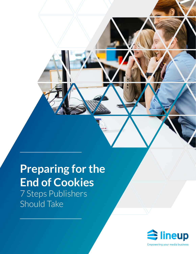## 7 Steps Publishers Should Take **Preparing for the End of Cookies**

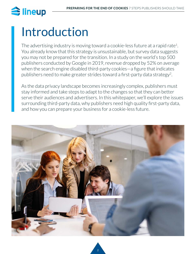# Introduction

The advertising industry is moving toward a cookie-less future at a rapid rate<sup>1</sup>. You already know that this strategy is unsustainable, but survey data suggests you may not be prepared for the transition. In a study on the world's top 500 publishers conducted by Google in 2019, revenue dropped by 52% on average when the search engine disabled third-party cookies—a figure that indicates publishers need to make greater strides toward a first-party data strategy<sup>2</sup>.

As the data privacy landscape becomes increasingly complex, publishers must stay informed and take steps to adapt to the changes so that they can better serve their audiences and advertisers. In this whitepaper, we'll explore the issues surrounding third-party data, why publishers need high quality first-party data, and how you can prepare your business for a cookie-less future.

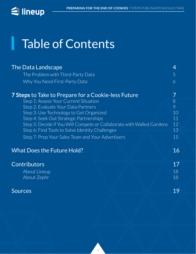I

# Table of Contents

| <b>The Data Landscape</b>                                             |  | 4  |
|-----------------------------------------------------------------------|--|----|
| The Problem with Third-Party Data                                     |  | 5  |
| Why You Need First-Party Data                                         |  | 6  |
| <b>7 Steps</b> to Take to Prepare for a Cookie-less Future            |  |    |
| Step 1: Assess Your Current Situation                                 |  | 8  |
| Step 2: Evaluate Your Data Partners                                   |  | 9  |
| Step 3: Use Technology to Get Organized                               |  | 10 |
| Step 4: Seek Out Strategic Partnerships                               |  | 11 |
| Step 5: Decide if You Will Compete or Collaborate with Walled Gardens |  | 12 |
| Step 6: Find Tools to Solve Identity Challenges                       |  | 13 |
| Step 7: Prep Your Sales Team and Your Advertisers                     |  | 15 |
|                                                                       |  |    |
| <b>What Does the Future Hold?</b>                                     |  | 16 |
| <b>Contributors</b>                                                   |  | 17 |
| About Lineup                                                          |  | 18 |
| About Zephr                                                           |  | 18 |
|                                                                       |  |    |
| <b>Sources</b>                                                        |  | 19 |
|                                                                       |  |    |

3 3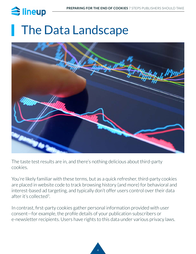# <span id="page-3-0"></span>**The Data Landscape**



The taste test results are in, and there's nothing delicious about third-party cookies.

You're likely familiar with these terms, but as a quick refresher, third-party cookies are placed in website code to track browsing history (and more) for behavioral and interest-based ad targeting, and typically don't offer users control over their data after it's collected3.

In contrast, first-party cookies gather personal information provided with user consent—for example, the profile details of your publication subscribers or e-newsletter recipients. Users have rights to this data under various privacy laws.

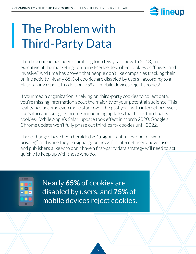

# <span id="page-4-0"></span>The Problem with Third-Party Data

The data cookie has been crumbling for a few years now. In 2013, an executive at the marketing company Merkle described cookies as "flawed and invasive." And time has proven that people don't like companies tracking their online activity. Nearly 65% of cookies are disabled by users<sup>4</sup>, according to a Flashtalking report. In addition, 75% of mobile devices reject cookies<sup>5</sup>.

If your media organization is relying on third-party cookies to collect data, you're missing information about the majority of your potential audience. This reality has become even more stark over the past year, with internet browsers like Safari and Google Chrome announcing updates that block third-party cookies<sup>6</sup>. While Apple's Safari update took effect in March 2020, Google's Chrome update won't fully phase out third-party cookies until 2022.

These changes have been heralded as "a significant milestone for web privacy,"7 and while they do signal good news for internet users, advertisers and publishers alike who don't have a first-party data strategy will need to act quickly to keep up with those who do.



Nearly **65%** of cookies are disabled by users, and **75%** of mobile devices reject cookies.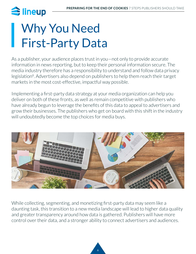# <span id="page-5-0"></span>Why You Need First-Party Data

As a publisher, your audience places trust in you—not only to provide accurate information in news reporting, but to keep their personal information secure. The media industry therefore has a responsibility to understand and follow data privacy legislation<sup>8</sup>. Advertisers also depend on publishers to help them reach their target markets in the most cost-effective, impactful way possible.

Implementing a first-party data strategy at your media organization can help you deliver on both of these fronts, as well as remain competitive with publishers who have already begun to leverage the benefits of this data to appeal to advertisers and grow their businesses. The publishers who get on board with this shift in the industry will undoubtedly become the top choices for media buys.



While collecting, segmenting, and monetizing first-party data may seem like a daunting task, this transition to a new media landscape will lead to higher data quality and greater transparency around how data is gathered. Publishers will have more control over their data, and a stronger ability to connect advertisers and audiences.

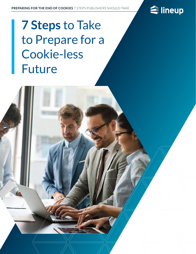

# <span id="page-6-0"></span>**7 Steps** to Take to Prepare for a Cookie-less Future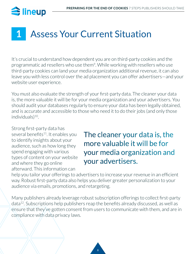## <span id="page-7-0"></span> $\bigcirc$  lineup

## **1** Assess Your Current Situation

It's crucial to understand how dependent you are on third-party cookies and the programmatic ad resellers who use them9. While working with resellers who use third-party cookies can land your media organization additional revenue, it can also leave you with less control over the ad placement you can offer advertisers—and your website user experience.

You must also evaluate the strength of your first-party data. The cleaner your data is, the more valuable it will be for your media organization and your advertisers. You should audit your databases regularly to ensure your data has been legally obtained, and is accurate and accessible to those who need it to do their jobs (and only those  $individuals)$ <sup>10</sup>.

Strong first-party data has several benefits<sup>11</sup>. It enables you to identify insights about your audience, such as how long they spend engaging with various types of content on your website and where they go online afterward. This information can

### The cleaner your data is, the more valuable it will be for your media organization and your advertisers.

help you tailor your offerings to advertisers to increase your revenue in an efficient way. Robust first-party data also helps you deliver greater personalization to your audience via emails, promotions, and retargeting.

Many publishers already leverage robust subscription offerings to collect first-party data12. Subscriptions help publishers reap the benefits already discussed, as well as ensure that they've gotten consent from users to communicate with them, and are in compliance with data privacy laws.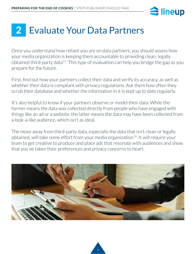

## <span id="page-8-0"></span>**2** Evaluate Your Data Partners

Once you understand how reliant you are on data partners, you should assess how your media organization is keeping them accountable to providing clean, legally obtained third-party data<sup>13</sup>. This type of evaluation can help you bridge the gap as you prepare for the future.

First, find out how your partners collect their data and verify its accuracy, as well as whether their data is compliant with privacy regulations. Ask them how often they scrub their database and whether the information in it is kept up to date regularly.

It's also helpful to know if your partners observe or model their data. While the former means the data was collected directly from people who have engaged with things like an ad or a website, the latter means the data may have been collected from a look-a-like audience, which isn't as ideal.

The move away from third-party data, especially the data that isn't clean or legally obtained, will take some effort from your media organization<sup>14</sup>. It will require your team to get creative to produce and place ads that resonate with audiences and show that you've taken their preferences and privacy concerns to heart.



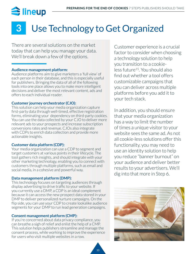### <span id="page-9-0"></span>Use Technology to Get Organized **3**

There are several solutions on the market today that can help you manage your data. We'll break down a few of the options.

### **[Audience management platform:](https://www.lineup.com/amplio)**

Audience platforms aim to give marketers a 'full view' of each person in their database, and this is especially useful for publishers. Bringing the data of all of the following tools into one place allows you to make more intelligent decisions and deliver the most relevant content, ads and offers to each individual reader.

### **[Customer journey orchestrator \(CJO\):](https://www.zephr.com/our-product)**

This solution can help your media organization capture first-party data through well-timed, effective registration forms, eliminating your dependency on third-party cookies. You can use the data collected by your CJO to deliver more relevant ads to your prospects and increase subscription conversions rates and revenue. CJOs also integrate with CDPs to enrich data collection and provide more actionable insights.

### **[Customer data platform \(CDP\):](https://www.lineup.com/newsroom/the-move-from-dmps-to-cdps-what-publishers-need-to-know/)**

Your media organization can use a CDP to segment and target customers at various points in their lifecycle. The tool gathers rich insights, and should integrate with your other marketing technology, enabling you to connect with customers through multiple platforms, such as email and social media, in a cohesive and powerful way.

### **[Data management platform \(DMP\):](https://www.lineup.com/newsroom/the-move-from-dmps-to-cdps-what-publishers-need-to-know/)**

This technology focuses on targeting audiences through display advertising to drive traffic to your website. If you currently use a DMP, a CDP is an ideal complement because it can access the new prospect data stored in your DMP to deliver personalized nurture campaigns. On the flip side, you can use your CDP to create lookalike audience segments for your DMP to run lead generation campaigns.

### **[Consent management platform \(CMP\):](https://whatsnewinpublishing.com/cmps-for-publishers-a-comparison-guide/)**

If you're concerned about data privacy compliance, you can breathe a sigh of relief and enlist the help of a CMP. This solution helps publishers streamline and manage the consent process, while working to improve the experience for users who visit multiple websites in a row.

Customer experience is a crucial factor to consider when choosing a technology solution to help you transition to a cookieless future15. You should also find out whether a tool offers customizable campaigns that you can deliver across multiple platforms before you add it to your tech stack.

In addition, you should ensure that your media organization has a way to limit the number of times a unique visitor to your website sees the same ad. As not all cookie-less solutions offer this functionality, you may need to use an identity solution to help you reduce "banner burnout" on your audience and deliver better results to your advertisers. We'll dig into that more in Step 6.

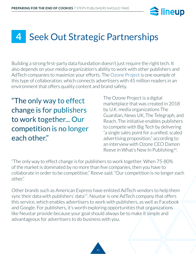

### <span id="page-10-0"></span>Seek Out Strategic Partnerships **4**

Building a strong first-party data foundation doesn't just require the right tech. It also depends on your media organization's ability to work with other publishers and AdTech companies to maximize your efforts. The [Ozone Project](https://www.ozoneproject.com/) is one example of this type of collaboration, which connects advertisers with 45 million readers in an environment that offers quality content and brand safety.

"The only way to effect change is for publishers to work together... Our competition is no longer each other."

The Ozone Project is a digital marketplace that was created in 2018 by U.K. media organizations The Guardian, News UK, The Telegraph, and Reach. The initiative enables publishers to compete with Big Tech by delivering "a single sales point for a unified, scaled advertising proposition," according to an interview with Ozone CEO Damon Reeve in What's New In Publishing<sup>16</sup>.

"The only way to effect change is for publishers to work together. When 75-80% of the market is dominated by no more than five companies, then you have to collaborate in order to be competitive," Reeve said. "Our competition is no longer each other."

Other brands such as American Express have enlisted AdTech vendors to help them sync their data with publishers' data<sup>17</sup>. Neustar is one AdTech company that offers this service, which enables advertisers to work with publishers, as well as Facebook and Google. For publishers, it's worth exploring opportunities that organizations like Neustar provide because your goal should always be to make it simple and advantageous for advertisers to do business with you.

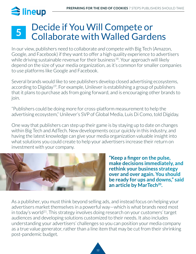### <span id="page-11-0"></span>Decide if You Will Compete or Collaborate with Walled Gardens **5**

In our view, publishers need to collaborate *and* compete with Big Tech (Amazon, Google, and Facebook) if they want to offer a high quality experience to advertisers while driving sustainable revenue for their business<sup>18</sup>. Your approach will likely depend on the size of your media organization, as it's common for smaller companies to use platforms like Google and Facebook.

Several brands would like to see publishers develop closed advertising ecosystems, according to Digiday19. For example, Unilever is establishing a group of publishers that it plans to purchase ads from going forward, and is encouraging other brands to join.

"Publishers could be doing more for cross-platform measurement to help the advertising ecosystem," Unilever's SVP of Global Media, Luis Di Como, told Digiday.

One way that publishers can step up their game is by staying up to date on changes within Big Tech and AdTech. New developments occur quickly in this industry, and having the latest knowledge can give your media organization valuable insight into what solutions you could create to help your advertisers increase their return on investment with your company.



**"Keep a finger on the pulse, make decisions immediately, and rethink your business strategy over and over again. You should be ready for ups and downs," said**  an article by MarTech<sup>20</sup>.

As a publisher, you must think beyond selling ads, and instead focus on helping your advertisers market themselves in a powerful way—which is what brands need most in today's world<sup>21</sup>. This strategy involves doing research on your customers' target audiences and developing solutions customized to their needs. It also includes understanding your advertisers' challenges so you can position your media company as a true value generator, rather than a line item that may be cut from their shrinking post-pandemic budget.

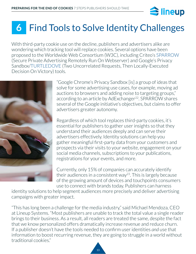

## <span id="page-12-0"></span>**6** Find Tools to Solve Identity Challenges

With third-party cookie use on the decline, publishers and advertisers alike are wondering which tracking tool will replace cookies. Several options have been proposed to the Worldwide Web Consortium (W3C), including Criteo's [SPARROW](https://www.admonsters.com/what-is-sparrow/) (Secure Private Advertising Remotely Run On Webserver) and Google's Privacy Sandbox/[TURTLEDOVE](https://github.com/WICG/turtledove) (Two Uncorrelated Requests, Then Locally-Executed Decision On Victory) tools.



"Google Chrome's Privacy Sandbox [is] a group of ideas that solve for some advertising use cases, for example, moving ad auctions to browsers and adding noise to targeting groups," according to an article by AdExchanger<sup>22</sup>. SPARROW shares several of the Google initiative's objectives, but claims to offer advertisers greater autonomy.

Regardless of which tool replaces third-party cookies, it's essential for publishers to gather user insights so that they understand their audiences deeply and can serve their advertisers effectively. Identity solutions can help you gather meaningful first-party data from your customers and prospects via their visits to your website, engagement on your social media channels, subscriptions to your publications, registrations for your events, and more.

Currently, only 15% of companies can accurately identify their audiences in a consistent way<sup>23</sup>. This is largely because of the growing amount of devices and touchpoints consumers use to connect with brands today. Publishers can harness

identity solutions to help segment audiences more precisely and deliver advertising campaigns with greater impact.

"This has long been a challenge for the media industry," said Michael Mendoza, CEO at Lineup Systems. "Most publishers are unable to track the total value a single reader brings to their business. As a result, all readers are treated the same, despite the fact that we know personalized offers dramatically increase revenue and reduce churn. If a publisher doesn't have the tools needed to confirm user identities *and* use that information to boost recurring revenue, they are going to struggle in a world without traditional cookies."

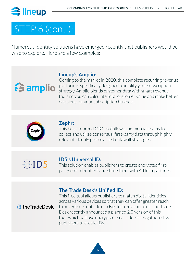## STEP 6 (cont.):

Numerous identity solutions have emerged recently that publishers would be wise to explore. Here are a few examples:

### **[Lineup's Amplio:](https://www.lineup.com/amplio)**

Coming to the market in 2020, this complete recurring revenue platform is specifically designed o amplify your subscription strategy. Amplio blends customer data with smart revenue tools so you can calculate total customer value and make better decisions for your subscription business.



**Estamplio** 

### **[Zephr:](https://www.zephr.com/)**

This best-in-breed CJO tool allows commercial teams to collect and utilize consensual first-party data through highly relevant, deeply personalised datawall strategies.



### **[ID5's Universal ID:](https://www.id5.io/universal-id/)**

This solution enables publishers to create encrypted firstparty user identifiers and share them with AdTech partners.

### **[The Trade Desk's Unified ID:](https://www.thetradedesk.com/industry-initiatives/unified-id-solution)**

### *<u>D</u>* the Trade Desk

This free tool allows publishers to match digital identities across various devices so that they can offer greater reach to advertisers outside of a Big Tech environment. The Trade Desk recently announced a planned 2.0 version of this tool, which will use encrypted email addresses gathered by publishers to create IDs.

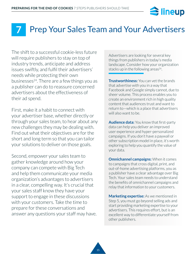

### <span id="page-14-0"></span>Prep Your Sales Team and Your Advertisers **7**

The shift to a successful cookie-less future will require publishers to stay on top of industry trends, anticipate and address issues swiftly, and fulfil their advertisers' needs while protecting their own businesses $^{24}$ . There are a few things you as a publisher can do to reassure concerned advertisers about the effectiveness of their ad spend.

First, make it a habit to connect with your advertiser base, whether directly or through your sales team, to hear about any new challenges they may be dealing with. Find out what their objectives are for the short and long term so that you can tailor your solutions to deliver on those goals.

Second, empower your sales team to gather knowledge around how your company can compete with Big Tech and help them communicate your media organization's advantages to advertisers in a clear, compelling way. It's crucial that your sales staff know they have your support to engage in these discussions with your customers. Take the time to prepare for these conversations and answer any questions your staff may have. Advertisers are looking for several key things from publishers in today's media landscape. Consider how your organization stacks up in the following areas<sup>26</sup>.

**Trustworthiness:** You can vet the brands that advertise with you in a way that Facebook and Google simply cannot, due to sheer volume. This process enables you to create an environment rich in high quality content that audiences trust and want to return to—which is a place that advertisers will also want to be.

**Audience data:** You know that first-party data can help you deliver an improved user experience and hyper-personalized campaigns. If you don't have a paywall or other subscription model in place, it's worth exploring to help you quantify the value of your data.

**Omnichannel campaigns:** When it comes to campaigns that cross digital, print, and out-of-home advertising platforms, you as a publisher have a clear advantage over Big Tech. Your sales team needs to understand the benefits of omnichannel campaigns and relay that information to your customers.

**Marketing expertise:** As we mentioned in Step 5, you must go beyond selling ads and start providing marketing expertise to your advertisers. This requires effort, but is an excellent way to differentiate yourself from other publishers.

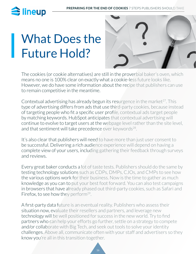<span id="page-15-0"></span>

# What Does the Future Hold?



The cookies (or cookie alternatives) are still in the proverbial baker's oven, which means no one is 100% clear on exactly what a cookie-less future looks like. However, we do have some information about the recipe that publishers can use to remain competitive in the meantime.

Contextual advertising has already begun its resurgence in the market<sup>27</sup>. This type of advertising differs from ads that use third-party cookies, because instead of targeting people who fit a specific user profile, contextual ads target people by matching keywords. HubSpot anticipates that contextual advertising will continue to evolve to target users at the webpage level rather than the site level, and that sentiment will take precedence over keywords<sup>28</sup>.

It's also clear that publishers will need to have more than just user consent to be successful. Delivering a rich audience experience will depend on having a complete view of your users, including gathering their feedback through surveys and reviews.

Every great baker conducts a lot of taste tests. Publishers should do the same by testing technology solutions such as CDPs, DMPs, CJOs, and CMPs to see how the various options work for their business. Now is the time to gather as much knowledge as you can to put your best foot forward. You can also test campaigns in browsers that have already phased out third-party cookies, such as Safari and Firefox, to see how they perform<sup>29</sup>.

A first-party data future is an eventual reality. Publishers who assess their situation now, evaluate their resellers and partners, and leverage new technology will be well positioned for success in the new world. Try to find partners who can help your efforts go further, settle on a strategy to compete and/or collaborate with Big Tech, and seek out tools to solve your identity challenges. Above all, communicate often with your staff and advertisers so they know you're all in this transition together.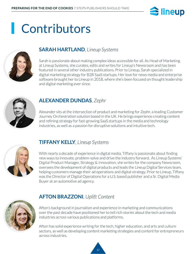

# <span id="page-16-0"></span>**Contributors**



### **[SARAH HARTLAND](https://www.lineup.com/newsroom/author/shartland)***, Lineup Systems*

Sarah is passionate about making complex ideas accessible for all. As Head of Marketing at Lineup Systems, she curates, edits and writes for Lineup's Newsroom and has been featured in several other industry publications. Prior to Lineup, Sarah specialized in digital marketing strategy for B2B SaaS startups. Her love for news media and enterprise software brought her to Lineup in 2018, where she's been focused on thought leadership and digital marketing ever since.



### **[ALEXANDER DUNDAS](https://www.linkedin.com/in/alexander-dundas/)***, Zephr*

Alexander sits at the intersection of product and marketing for Zephr, a leading Customer Journey Orchestration solution based in the UK. He brings experience creating content and refining strategy for fast-growing SaaS startups in the media and technology industries, as well as a passion for disruptive solutions and intuitive tech.



### **[TIFFANY KELLY](https://www.lineup.com/newsroom/author/tkelly)***, Lineup Systems*

With nearly a decade of experience in digital media, Tiffany is passionate about finding new ways to innovate, problem-solve and drive the industry forward. As Lineup Systems' Digital Product Manager, Strategy & Innovation, she writes for the company Newsroom, oversees the development of digital products and leads the Lineup Digital Services team, helping customers manage their ad operations and digital strategy. Prior to Lineup, Tiffany was the Director of Digital Operations for a U.S. based publisher and a Sr. Digital Media Buyer at an automotive ad agency.



### **[AFTON BRAZZONI](https://www.lineup.com/newsroom/author/afton-brazzoni)***, Uplift Content*

Afton's background in journalism and experience in marketing and communications over the past decade have positioned her to tell rich stories about the tech and media industries across various publications and platforms.

Afton has solid experience writing for the tech, higher education, and arts and culture sectors, as well as developing content marketing strategies and content for entrepreneurs across industries.

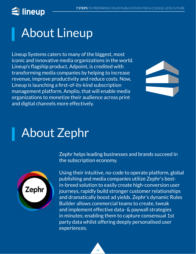## <span id="page-17-0"></span> $\widehat{\equiv}$  lineup

# About Lineup

Lineup Systems caters to many of the biggest, most iconic and innovative media organizations in the world. Lineup's flagship product, Adpoint, is credited with transforming media companies by helping to increase revenue, improve productivity and reduce costs. Now, Lineup is launching a first-of-its-kind subscription management platform, Amplio, that will enable media organizations to monetize their audience across print and digital channels more effectively.



## About Zephr



Zephr helps leading businesses and brands succeed in the subscription economy.

Using their intuitive, no-code to operate platform, global publishing and media companies utilize Zephr's bestin-breed solution to easily create high-conversion user journeys, rapidly build stronger customer relationships and dramatically boost ad yields. Zephr's dynamic Rules Builder allows commercial teams to create, tweak and implement effective data- & paywall strategies in minutes; enabling them to capture consensual 1st party data whilst offering deeply personalised user experiences.

18 18